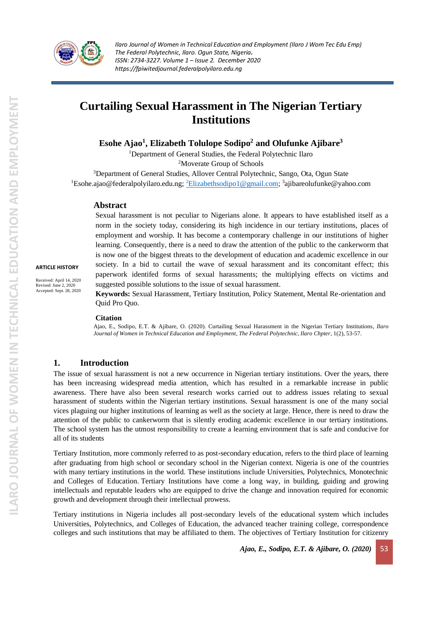

# **Curtailing Sexual Harassment in The Nigerian Tertiary Institutions**

**Esohe Ajao<sup>1</sup> , Elizabeth Tolulope Sodipo<sup>2</sup> and Olufunke Ajibare<sup>3</sup>**

<sup>1</sup>Department of General Studies, the Federal Polytechnic Ilaro <sup>2</sup>Moverate Group of Schools

<sup>3</sup>Department of General Studies, Allover Central Polytechnic, Sango, Ota, Ogun State <sup>1</sup>Esohe.ajao@federalpolyilaro.edu.ng; <sup>2</sup>[Elizabethsodipo1@gmail.com;](mailto:2Elizabethsodipo1@gmail.com) <sup>3</sup>ajibareolufunke@yahoo.com

### **Abstract**

Sexual harassment is not peculiar to Nigerians alone. It appears to have established itself as a norm in the society today, considering its high incidence in our tertiary institutions, places of employment and worship. It has become a contemporary challenge in our institutions of higher learning. Consequently, there is a need to draw the attention of the public to the cankerworm that is now one of the biggest threats to the development of education and academic excellence in our society. In a bid to curtail the wave of sexual harassment and its concomitant effect; this paperwork identifed forms of sexual harassments; the multiplying effects on victims and suggested possible solutions to the issue of sexual harassment.

**Keywords:** Sexual Harassment, Tertiary Institution, Policy Statement, Mental Re-orientation and Quid Pro Quo.

#### **Citation**

Ajao, E., Sodipo, E.T. & Ajibare, O. (2020). Curtailing Sexual Harassment in the Nigerian Tertiary Institutions, *Ilaro Journal of Women in Technical Education and Employment, The Federal Polytechnic, Ilaro Chpter*, 1(2), 53-57.

## **1. Introduction**

The issue of sexual harassment is not a new occurrence in Nigerian tertiary institutions. Over the years, there has been increasing widespread media attention, which has resulted in a remarkable increase in public awareness. There have also been several research works carried out to address issues relating to sexual harassment of students within the Nigerian tertiary institutions. Sexual harassment is one of the many social vices plaguing our higher institutions of learning as well as the society at large. Hence, there is need to draw the attention of the public to cankerworm that is silently eroding academic excellence in our tertiary institutions. The school system has the utmost responsibility to create a learning environment that is safe and conducive for all of its students

Tertiary Institution, more commonly referred to as post-secondary education, refers to the third place of learning after graduating from high school or secondary school in the Nigerian context. Nigeria is one of the countries with many tertiary institutions in the world. These institutions include Universities, Polytechnics, Monotechnic and Colleges of Education. Tertiary Institutions have come a long way, in building, guiding and growing intellectuals and reputable leaders who are equipped to drive the change and innovation required for economic growth and development through their intellectual prowess.

Tertiary institutions in Nigeria includes all post-secondary levels of the educational system which includes Universities, Polytechnics, and Colleges of Education, the advanced teacher training college, correspondence colleges and such institutions that may be affiliated to them. The objectives of Tertiary Institution for citizenry

*Ajao, E., Sodipo, E.T. & Ajibare, O. (2020)* 53

**ARTICLE HISTORY** Received: April 14, 2020 Revised: June 2, 2020 Accepted: Sept. 28, 2020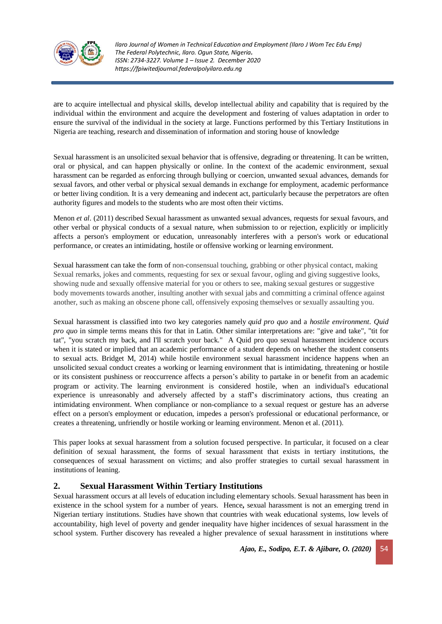

are to acquire intellectual and physical skills, develop intellectual ability and capability that is required by the individual within the environment and acquire the development and fostering of values adaptation in order to ensure the survival of the individual in the society at large. Functions performed by this Tertiary Institutions in Nigeria are teaching, research and dissemination of information and storing house of knowledge

Sexual harassment is an unsolicited sexual behavior that is offensive, degrading or threatening. It can be written, oral or physical, and can happen physically or online. In the context of the academic environment, sexual harassment can be regarded as enforcing through bullying or coercion, unwanted sexual advances, demands for sexual favors, and other verbal or physical sexual demands in exchange for employment, academic performance or better living condition. It is a very demeaning and indecent act, particularly because the perpetrators are often authority figures and models to the students who are most often their victims.

Menon *et al*. (2011) described Sexual harassment as unwanted sexual advances, requests for sexual favours, and other verbal or physical conducts of a sexual nature, when submission to or rejection, explicitly or implicitly affects a person's employment or education, unreasonably interferes with a person's work or educational performance, or creates an intimidating, hostile or offensive working or learning environment.

Sexual harassment can take the form of non-consensual touching, grabbing or other physical contact, making Sexual remarks, jokes and comments, requesting for sex or sexual favour, ogling and giving suggestive looks, showing nude and sexually offensive material for you or others to see, making sexual gestures or suggestive body movements towards another, insulting another with sexual jabs and committing a criminal offence against another, such as making an obscene phone call, offensively exposing themselves or sexually assaulting you.

Sexual harassment is classified into two key categories namely *quid pro quo* and a *hostile environment*. *Quid pro quo* in simple terms means this for that in Latin. Other similar interpretations are: "give and take", "tit for tat", "you scratch my back, and I'll scratch your back." A Quid pro quo sexual harassment incidence occurs when it is stated or implied that an academic performance of a student depends on whether the student consents to sexual acts. Bridget M, 2014) while hostile environment sexual harassment incidence happens when an unsolicited sexual conduct creates a working or learning environment that is intimidating, threatening or hostile or its consistent pushiness or reoccurrence affects a person's ability to partake in or benefit from an academic program or activity. The learning environment is considered hostile, when an individual's educational experience is unreasonably and adversely affected by a staff's discriminatory actions, thus creating an intimidating environment. When compliance or non-compliance to a sexual request or gesture has an adverse effect on a person's employment or education, impedes a person's professional or educational performance, or creates a threatening, unfriendly or hostile working or learning environment. Menon et al. (2011).

This paper looks at sexual harassment from a solution focused perspective. In particular, it focused on a clear definition of sexual harassment, the forms of sexual harassment that exists in tertiary institutions, the consequences of sexual harassment on victims; and also proffer strategies to curtail sexual harassment in institutions of leaning.

## **2. Sexual Harassment Within Tertiary Institutions**

Sexual harassment occurs at all levels of education including elementary schools. Sexual harassment has been in existence in the school system for a number of years. Hence**,** sexual harassment is not an emerging trend in Nigerian tertiary institutions. Studies have shown that countries with weak educational systems, low levels of accountability, high level of poverty and gender inequality have higher incidences of sexual harassment in the school system. Further discovery has revealed a higher prevalence of sexual harassment in institutions where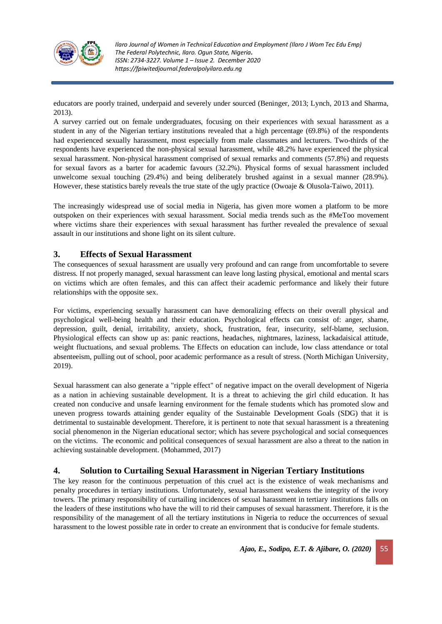

educators are poorly trained, underpaid and severely under sourced (Beninger, 2013; Lynch, 2013 and Sharma, 2013).

A survey carried out on female undergraduates, focusing on their experiences with sexual harassment as a student in any of the Nigerian tertiary institutions revealed that a high percentage (69.8%) of the respondents had experienced sexually harassment, most especially from male classmates and lecturers. Two-thirds of the respondents have experienced the non-physical sexual harassment, while 48.2% have experienced the physical sexual harassment. Non-physical harassment comprised of sexual remarks and comments (57.8%) and requests for sexual favors as a barter for academic favours (32.2%). Physical forms of sexual harassment included unwelcome sexual touching (29.4%) and being deliberately brushed against in a sexual manner (28.9%). However, these statistics barely reveals the true state of the ugly practice (Owoaje & Olusola-Taiwo, 2011).

The increasingly widespread use of social media in Nigeria, has given more women a platform to be more outspoken on their experiences with sexual harassment. Social media trends such as the #MeToo movement where victims share their experiences with sexual harassment has further revealed the prevalence of sexual assault in our institutions and shone light on its silent culture.

## **3. Effects of Sexual Harassment**

The consequences of sexual harassment are usually very profound and can range from uncomfortable to severe distress. If not properly managed, sexual harassment can leave long lasting physical, emotional and mental scars on victims which are often females, and this can affect their academic performance and likely their future relationships with the opposite sex.

For victims, experiencing sexually harassment can have demoralizing effects on their overall physical and psychological well-being health and their education. Psychological effects can consist of: anger, shame, depression, guilt, denial, irritability, anxiety, shock, frustration, fear, insecurity, self-blame, seclusion. Physiological effects can show up as: panic reactions, headaches, nightmares, laziness, lackadaisical attitude, weight fluctuations, and sexual problems. The Effects on education can include, low class attendance or total absenteeism, pulling out of school, poor academic performance as a result of stress. (North Michigan University, 2019).

Sexual harassment can also generate a "ripple effect" of negative impact on the overall development of Nigeria as a nation in achieving sustainable development. It is a threat to achieving the girl child education. It has created non conducive and unsafe learning environment for the female students which has promoted slow and uneven progress towards attaining gender equality of the Sustainable Development Goals (SDG) that it is detrimental to sustainable development. Therefore, it is pertinent to note that sexual harassment is a threatening social phenomenon in the Nigerian educational sector; which has severe psychological and social consequences on the victims. The economic and political consequences of sexual harassment are also a threat to the nation in achieving sustainable development. (Mohammed, 2017)

## **4. Solution to Curtailing Sexual Harassment in Nigerian Tertiary Institutions**

The key reason for the continuous perpetuation of this cruel act is the existence of weak mechanisms and penalty procedures in tertiary institutions. Unfortunately, sexual harassment weakens the integrity of the ivory towers. The primary responsibility of curtailing incidences of sexual harassment in tertiary institutions falls on the leaders of these institutions who have the will to rid their campuses of sexual harassment. Therefore, it is the responsibility of the management of all the tertiary institutions in Nigeria to reduce the occurrences of sexual harassment to the lowest possible rate in order to create an environment that is conducive for female students.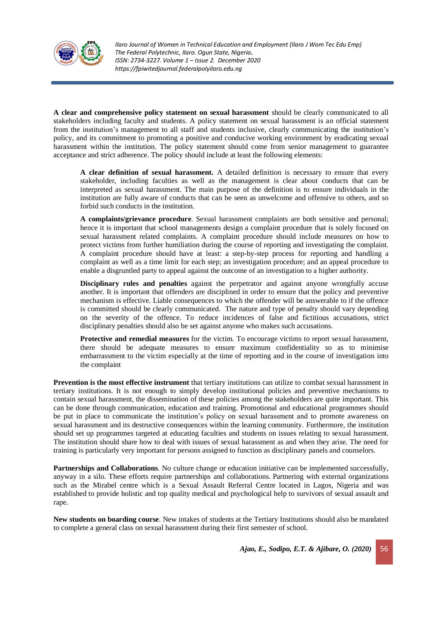

**A clear and comprehensive policy statement on sexual harassment** should be clearly communicated to all stakeholders including faculty and students. A policy statement on sexual harassment is an official statement from the institution's management to all staff and students inclusive, clearly communicating the institution's policy, and its commitment to promoting a positive and conducive working environment by eradicating sexual harassment within the institution. The policy statement should come from senior management to guarantee acceptance and strict adherence. The policy should include at least the following elements:

**A clear definition of sexual harassment.** A detailed definition is necessary to ensure that every stakeholder, including faculties as well as the management is clear about conducts that can be interpreted as sexual harassment. The main purpose of the definition is to ensure individuals in the institution are fully aware of conducts that can be seen as unwelcome and offensive to others, and so forbid such conducts in the institution.

**A complaints/grievance procedure**. Sexual harassment complaints are both sensitive and personal; hence it is important that school managements design a complaint procedure that is solely focused on sexual harassment related complaints. A complaint procedure should include measures on how to protect victims from further humiliation during the course of reporting and investigating the complaint. A complaint procedure should have at least: a step-by-step process for reporting and handling a complaint as well as a time limit for each step; an investigation procedure; and an appeal procedure to enable a disgruntled party to appeal against the outcome of an investigation to a higher authority.

**Disciplinary rules and penalties** against the perpetrator and against anyone wrongfully accuse another. It is important that offenders are disciplined in order to ensure that the policy and preventive mechanism is effective. Liable consequences to which the offender will be answerable to if the offence is committed should be clearly communicated. The nature and type of penalty should vary depending on the severity of the offence. To reduce incidences of false and fictitious accusations, strict disciplinary penalties should also be set against anyone who makes such accusations.

**Protective and remedial measures** for the victim. To encourage victims to report sexual harassment, there should be adequate measures to ensure maximum confidentiality so as to minimise embarrassment to the victim especially at the time of reporting and in the course of investigation into the complaint

**Prevention is the most effective instrument** that tertiary institutions can utilize to combat sexual harassment in tertiary institutions. It is not enough to simply develop institutional policies and preventive mechanisms to contain sexual harassment, the dissemination of these policies among the stakeholders are quite important. This can be done through communication, education and training. Promotional and educational programmes should be put in place to communicate the institution's policy on sexual harassment and to promote awareness on sexual harassment and its destructive consequences within the learning community. Furthermore, the institution should set up programmes targeted at educating faculties and students on issues relating to sexual harassment. The institution should share how to deal with issues of sexual harassment as and when they arise. The need for training is particularly very important for persons assigned to function as disciplinary panels and counselors.

**Partnerships and Collaborations**. No culture change or education initiative can be implemented successfully, anyway in a silo. These efforts require partnerships and collaborations. Partnering with external organizations such as the Mirabel centre which is a Sexual Assault Referral Centre located in Lagos, Nigeria and was established to provide holistic and top quality medical and psychological help to survivors of sexual assault and rape.

**New students on boarding course**. New intakes of students at the Tertiary Institutions should also be mandated to complete a general class on sexual harassment during their first semester of school.

*Ajao, E., Sodipo, E.T. & Ajibare, O. (2020)* 56